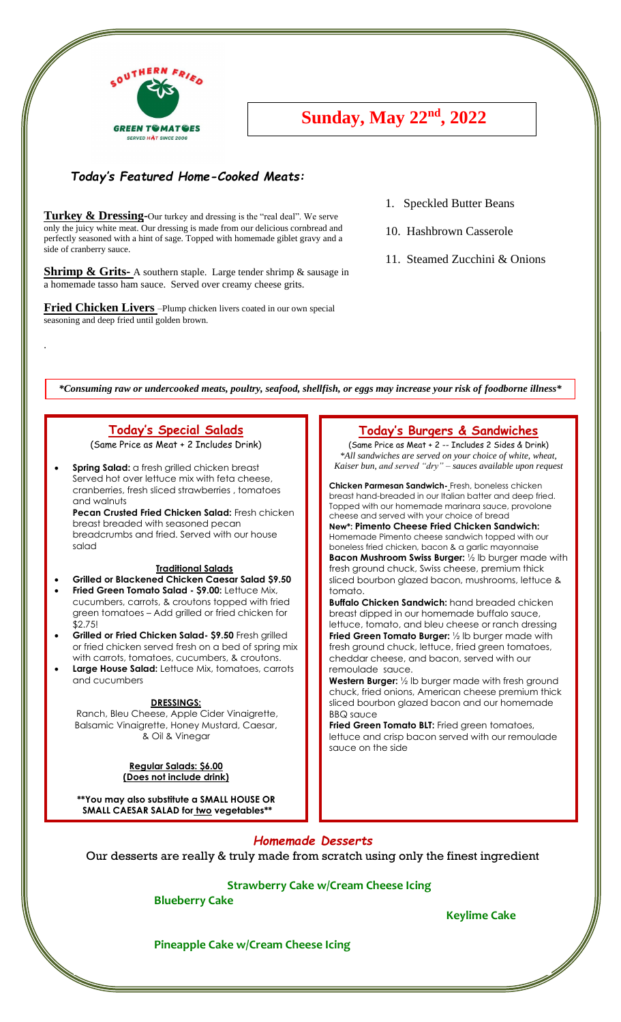

# **Sunday, May 22<sup>nd</sup>, 2022**

### *Today's Featured Home-Cooked Meats:* **th, 2020**

**..**

perfectly seasoned with a hint of sage. Topped with homemade giblet gravy and a **Turkey & Dressing-**Our turkey and dressing is the "real deal". We serve only the juicy white meat. Our dressing is made from our delicious cornbread and side of cranberry sauce.

**Shrimp & Grits-** A southern staple. Large tender shrimp & sausage in a homemade tasso ham sauce. Served over creamy cheese grits.

**Fried Chicken Livers** –Plump chicken livers coated in our own special seasoning and deep fried until golden brown.

- 1. Speckled Butter Beans
- 10. Hashbrown Casserole
- 11. Steamed Zucchini & Onions

*\*Consuming raw or undercooked meats, poultry, seafood, shellfish, or eggs may increase your risk of foodborne illness\**

# **Today's Special Salads**

(Same Price as Meat + 2 Includes Drink)

.

• **Spring Salad:** a fresh grilled chicken breast Served hot over lettuce mix with feta cheese, cranberries, fresh sliced strawberries , tomatoes and walnuts **Pecan Crusted Fried Chicken Salad:** Fresh chicken breast breaded with seasoned pecan breadcrumbs and fried. Served with our house salad

#### **Traditional Salads**

- **Grilled or Blackened Chicken Caesar Salad \$9.50**
- **Fried Green Tomato Salad - \$9.00:** Lettuce Mix, cucumbers, carrots, & croutons topped with fried green tomatoes – Add grilled or fried chicken for \$2.75!
- **Grilled or Fried Chicken Salad- \$9.50** Fresh grilled or fried chicken served fresh on a bed of spring mix with carrots, tomatoes, cucumbers, & croutons.
- **Large House Salad:** Lettuce Mix, tomatoes, carrots and cucumbers

#### **DRESSINGS:**

Ranch, Bleu Cheese, Apple Cider Vinaigrette, Balsamic Vinaigrette, Honey Mustard, Caesar, & Oil & Vinegar

#### **Regular Salads: \$6.00 (Does not include drink)**

**\*\*You may also substitute a SMALL HOUSE OR SMALL CAESAR SALAD for two vegetables\*\***

### **Today's Burgers & Sandwiches**

(Same Price as Meat + 2 -- Includes 2 Sides & Drink) *\*All sandwiches are served on your choice of white, wheat, Kaiser bun, and served "dry" – sauces available upon request*

**Chicken Parmesan Sandwich-** Fresh, boneless chicken breast hand-breaded in our Italian batter and deep fried. Topped with our homemade marinara sauce, provolone cheese and served with your choice of bread

**New\*: Pimento Cheese Fried Chicken Sandwich:** Homemade Pimento cheese sandwich topped with our boneless fried chicken, bacon & a garlic mayonnaise **Bacon Mushroom Swiss Burger:** ½ lb burger made with fresh ground chuck, Swiss cheese, premium thick sliced bourbon glazed bacon, mushrooms, lettuce & tomato.

**Buffalo Chicken Sandwich:** hand breaded chicken **bonard chicken sandwich**, nand bicaded chicken<br>breast dipped in our homemade buffalo sauce, lettuce, tomato, and bleu cheese or ranch dressing **Fried Green Tomato Burger:** ½ lb burger made with fresh ground chuck, lettuce, fried green tomatoes, cheddar cheese, and bacon, served with our remoulade sauce.

**Western Burger:** ½ lb burger made with fresh ground chuck, fried onions, American cheese premium thick sliced bourbon glazed bacon and our homemade BBQ sauce

**Fried Green Tomato BLT:** Fried green tomatoes, lettuce and crisp bacon served with our remoulade sauce on the side

### *Homemade Desserts*

Our desserts are really & truly made from scratch using only the finest ingredient

#### **Strawberry Cake w/Cream Cheese Icing**

**Blueberry Cake**

**Keylime Cake**

 $\mathbb{Z}$ 

**Pineapple Cake w/Cream Cheese Icing**